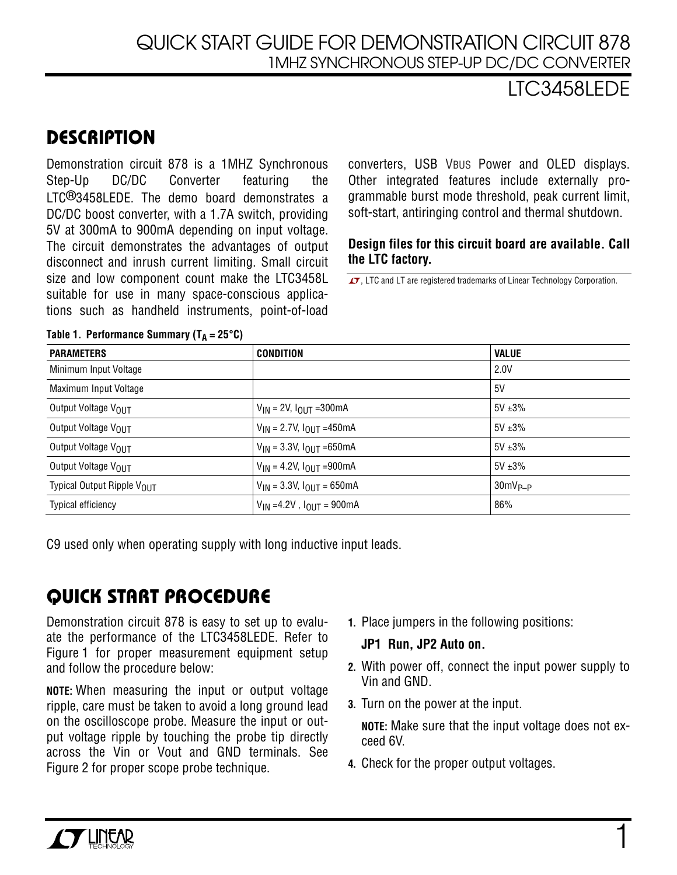## LTC3458LEDE

# **DESCRIPTION**

Demonstration circuit 878 is a 1MHZ Synchronous Step-Up DC/DC Converter featuring the LTC®3458LEDE. The demo board demonstrates a DC/DC boost converter, with a 1.7A switch, providing 5V at 300mA to 900mA depending on input voltage. The circuit demonstrates the advantages of output disconnect and inrush current limiting. Small circuit size and low component count make the LTC3458L suitable for use in many space-conscious applications such as handheld instruments, point-of-load

converters, USB VBUS Power and OLED displays. Other integrated features include externally programmable burst mode threshold, peak current limit, soft-start, antiringing control and thermal shutdown.

#### **Design files for this circuit board are available. Call the LTC factory.**

 $\overline{\mathcal{A}}$ , LTC and LT are registered trademarks of Linear Technology Corporation.

| <b>PARAMETERS</b>          | <b>CONDITION</b>                     | <b>VALUE</b> |
|----------------------------|--------------------------------------|--------------|
| Minimum Input Voltage      |                                      | 2.0V         |
| Maximum Input Voltage      |                                      | 5V           |
| Output Voltage VOUT        | $V_{IN}$ = 2V, $I_{OUIT}$ = 300 mA   | $5V \pm 3\%$ |
| Output Voltage VOUT        | $V_{IN}$ = 2.7V, $I_{OUT}$ =450mA    | $5V \pm 3\%$ |
| Output Voltage VOLIT       | $V_{IN}$ = 3.3V, $I_{OUT}$ =650mA    | $5V + 3%$    |
| Output Voltage VOLIT       | $V_{IN}$ = 4.2V, $I_{OUT}$ =900mA    | $5V \pm 3\%$ |
| Typical Output Ripple VOUT | $V_{IN}$ = 3.3V, $I_{OUT}$ = 650mA   | $30mV_{P-P}$ |
| <b>Typical efficiency</b>  | $V_{IN} = 4.2V$ , $I_{OUIT} = 900mA$ | 86%          |

#### **Table 1. Performance Summary (T<sup>A</sup> = 25°C)**

C9 used only when operating supply with long inductive input leads.

# **QUICK START PROCEDURE**

Demonstration circuit 878 is easy to set up to evaluate the performance of the LTC3458LEDE. Refer to Figure 1 for proper measurement equipment setup and follow the procedure below:

**NOTE:** When measuring the input or output voltage ripple, care must be taken to avoid a long ground lead on the oscilloscope probe. Measure the input or output voltage ripple by touching the probe tip directly across the Vin or Vout and GND terminals. See Figure 2 for proper scope probe technique.

**1.** Place jumpers in the following positions:

#### **Run, JP2 Auto on. JP1**

- **2.** With power off, connect the input power supply to Vin and GND.
- **3.** Turn on the power at the input.

**NOTE:** Make sure that the input voltage does not exceed 6V.

**4.** Check for the proper output voltages.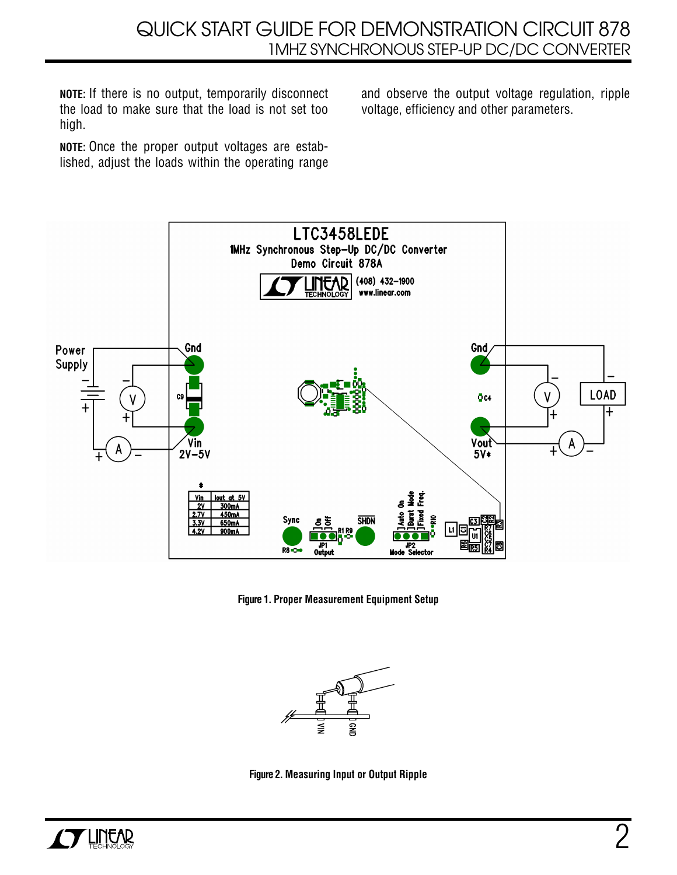**NOTE:** If there is no output, temporarily disconnect the load to make sure that the load is not set too high.

**NOTE:** Once the proper output voltages are established, adjust the loads within the operating range and observe the output voltage regulation, ripple voltage, efficiency and other parameters.



**Figure 1. Proper Measurement Equipment Setup**



**Figure 2. Measuring Input or Output Ripple**